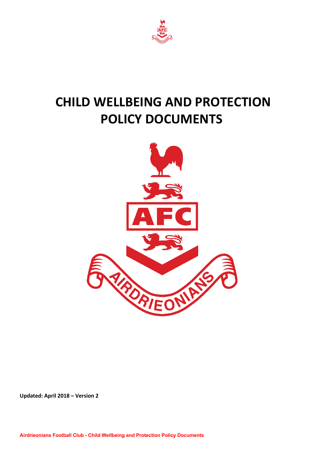

# **CHILD WELLBEING AND PROTECTION POLICY DOCUMENTS**



**Updated: April 2018 – Version 2**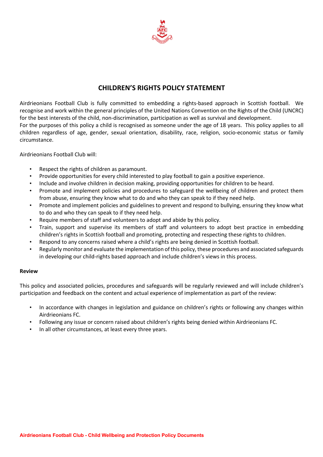

## **CHILDREN'S RIGHTS POLICY STATEMENT**

Airdrieonians Football Club is fully committed to embedding a rights-based approach in Scottish football. We recognise and work within the general principles of the United Nations Convention on the Rights of the Child (UNCRC) for the best interests of the child, non-discrimination, participation as well as survival and development. For the purposes of this policy a child is recognised as someone under the age of 18 years. This policy applies to all children regardless of age, gender, sexual orientation, disability, race, religion, socio-economic status or family

Airdrieonians Football Club will:

circumstance.

- Respect the rights of children as paramount.
- Provide opportunities for every child interested to play football to gain a positive experience.
- Include and involve children in decision making, providing opportunities for children to be heard.
- Promote and implement policies and procedures to safeguard the wellbeing of children and protect them from abuse, ensuring they know what to do and who they can speak to if they need help.
- Promote and implement policies and guidelines to prevent and respond to bullying, ensuring they know what to do and who they can speak to if they need help.
- Require members of staff and volunteers to adopt and abide by this policy.
- Train, support and supervise its members of staff and volunteers to adopt best practice in embedding children's rights in Scottish football and promoting, protecting and respecting these rights to children.
- Respond to any concerns raised where a child's rights are being denied in Scottish football.
- Regularly monitor and evaluate the implementation of this policy, these procedures and associated safeguards in developing our child-rights based approach and include children's views in this process.

#### **Review**

This policy and associated policies, procedures and safeguards will be regularly reviewed and will include children's participation and feedback on the content and actual experience of implementation as part of the review:

- In accordance with changes in legislation and guidance on children's rights or following any changes within Airdrieonians FC.
- Following any issue or concern raised about children's rights being denied within Airdrieonians FC.
- In all other circumstances, at least every three years.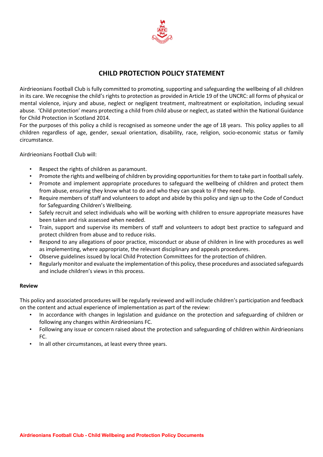

### **CHILD PROTECTION POLICY STATEMENT**

Airdrieonians Football Club is fully committed to promoting, supporting and safeguarding the wellbeing of all children in its care. We recognise the child's rights to protection as provided in Article 19 of the UNCRC: all forms of physical or mental violence, injury and abuse, neglect or negligent treatment, maltreatment or exploitation, including sexual abuse. 'Child protection' means protecting a child from child abuse or neglect, as stated within the National Guidance for Child Protection in Scotland 2014.

For the purposes of this policy a child is recognised as someone under the age of 18 years. This policy applies to all children regardless of age, gender, sexual orientation, disability, race, religion, socio-economic status or family circumstance.

Airdrieonians Football Club will:

- Respect the rights of children as paramount.
- Promote the rights and wellbeing of children by providing opportunities for them to take part in football safely.
- Promote and implement appropriate procedures to safeguard the wellbeing of children and protect them from abuse, ensuring they know what to do and who they can speak to if they need help.
- Require members of staff and volunteers to adopt and abide by this policy and sign up to the Code of Conduct for Safeguarding Children's Wellbeing.
- Safely recruit and select individuals who will be working with children to ensure appropriate measures have been taken and risk assessed when needed.
- Train, support and supervise its members of staff and volunteers to adopt best practice to safeguard and protect children from abuse and to reduce risks.
- Respond to any allegations of poor practice, misconduct or abuse of children in line with procedures as well as implementing, where appropriate, the relevant disciplinary and appeals procedures.
- Observe guidelines issued by local Child Protection Committees for the protection of children.
- Regularly monitor and evaluate the implementation of this policy, these procedures and associated safeguards and include children's views in this process.

#### **Review**

This policy and associated procedures will be regularly reviewed and will include children's participation and feedback on the content and actual experience of implementation as part of the review:

- In accordance with changes in legislation and guidance on the protection and safeguarding of children or following any changes within Airdrieonians FC.
- Following any issue or concern raised about the protection and safeguarding of children within Airdrieonians FC.
- In all other circumstances, at least every three years.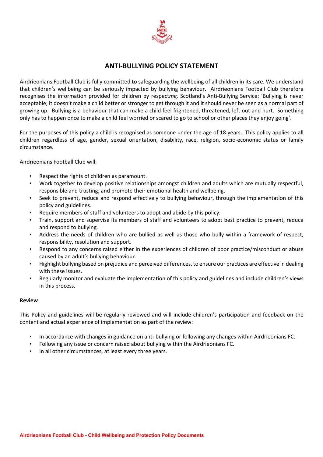

### **ANTI-BULLYING POLICY STATEMENT**

Airdrieonians Football Club is fully committed to safeguarding the wellbeing of all children in its care. We understand that children's wellbeing can be seriously impacted by bullying behaviour. Airdrieonians Football Club therefore recognises the information provided for children by respect*me,* Scotland's Anti-Bullying Service: 'Bullying is never acceptable; it doesn't make a child better or stronger to get through it and it should never be seen as a normal part of growing up. Bullying is a behaviour that can make a child feel frightened, threatened, left out and hurt. Something only has to happen once to make a child feel worried or scared to go to school or other places they enjoy going'.

For the purposes of this policy a child is recognised as someone under the age of 18 years. This policy applies to all children regardless of age, gender, sexual orientation, disability, race, religion, socio-economic status or family circumstance.

Airdrieonians Football Club will:

- Respect the rights of children as paramount.
- Work together to develop positive relationships amongst children and adults which are mutually respectful, responsible and trusting; and promote their emotional health and wellbeing.
- Seek to prevent, reduce and respond effectively to bullying behaviour, through the implementation of this policy and guidelines.
- Require members of staff and volunteers to adopt and abide by this policy.
- Train, support and supervise its members of staff and volunteers to adopt best practice to prevent, reduce and respond to bullying.
- Address the needs of children who are bullied as well as those who bully within a framework of respect, responsibility, resolution and support.
- Respond to any concerns raised either in the experiences of children of poor practice/misconduct or abuse caused by an adult's bullying behaviour.
- Highlight bullying based on prejudice and perceived differences, to ensure our practices are effective in dealing with these issues.
- Regularly monitor and evaluate the implementation of this policy and guidelines and include children's views in this process.

#### **Review**

This Policy and guidelines will be regularly reviewed and will include children's participation and feedback on the content and actual experience of implementation as part of the review:

- In accordance with changes in guidance on anti-bullying or following any changes within Airdrieonians FC.
- Following any issue or concern raised about bullying within the Airdrieonians FC.
- In all other circumstances, at least every three years.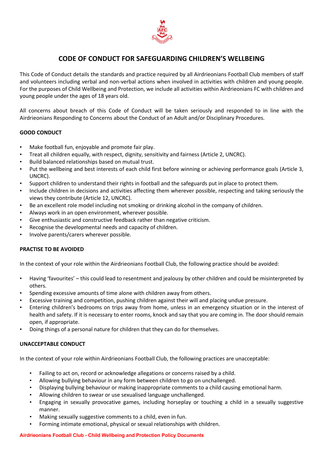

### **CODE OF CONDUCT FOR SAFEGUARDING CHILDREN'S WELLBEING**

This Code of Conduct details the standards and practice required by all Airdrieonians Football Club members of staff and volunteers including verbal and non-verbal actions when involved in activities with children and young people. For the purposes of Child Wellbeing and Protection, we include all activities within Airdrieonians FC with children and young people under the ages of 18 years old.

All concerns about breach of this Code of Conduct will be taken seriously and responded to in line with the Airdrieonians Responding to Concerns about the Conduct of an Adult and/or Disciplinary Procedures.

#### **GOOD CONDUCT**

- Make football fun, enjoyable and promote fair play.
- Treat all children equally, with respect, dignity, sensitivity and fairness (Article 2, UNCRC).
- Build balanced relationships based on mutual trust.
- Put the wellbeing and best interests of each child first before winning or achieving performance goals (Article 3, UNCRC).
- Support children to understand their rights in football and the safeguards put in place to protect them.
- Include children in decisions and activities affecting them wherever possible, respecting and taking seriously the views they contribute (Article 12, UNCRC).
- Be an excellent role model including not smoking or drinking alcohol in the company of children.
- Always work in an open environment, wherever possible.
- Give enthusiastic and constructive feedback rather than negative criticism.
- Recognise the developmental needs and capacity of children.
- Involve parents/carers wherever possible.

#### **PRACTISE TO BE AVOIDED**

In the context of your role within the Airdrieonians Football Club, the following practice should be avoided:

- Having 'favourites' this could lead to resentment and jealousy by other children and could be misinterpreted by others.
- Spending excessive amounts of time alone with children away from others.
- Excessive training and competition, pushing children against their will and placing undue pressure.
- Entering children's bedrooms on trips away from home, unless in an emergency situation or in the interest of health and safety. If it is necessary to enter rooms, knock and say that you are coming in. The door should remain open, if appropriate.
- Doing things of a personal nature for children that they can do for themselves.

#### **UNACCEPTABLE CONDUCT**

In the context of your role within Airdrieonians Football Club, the following practices are unacceptable:

- Failing to act on, record or acknowledge allegations or concerns raised by a child.
- Allowing bullying behaviour in any form between children to go on unchallenged.
- Displaying bullying behaviour or making inappropriate comments to a child causing emotional harm.
- Allowing children to swear or use sexualised language unchallenged.
- Engaging in sexually provocative games, including horseplay or touching a child in a sexually suggestive manner.
- Making sexually suggestive comments to a child, even in fun.
- Forming intimate emotional, physical or sexual relationships with children.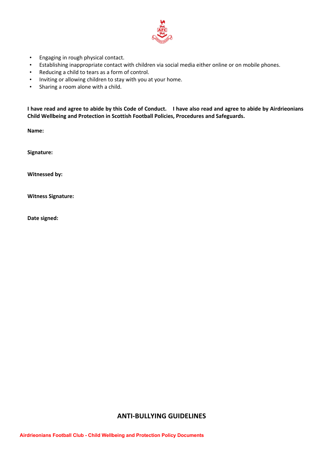

- Engaging in rough physical contact.
- Establishing inappropriate contact with children via social media either online or on mobile phones.
- Reducing a child to tears as a form of control.
- Inviting or allowing children to stay with you at your home.
- Sharing a room alone with a child.

I have read and agree to abide by this Code of Conduct. I have also read and agree to abide by Airdrieonians **Child Wellbeing and Protection in Scottish Football Policies, Procedures and Safeguards.**

**Name:**

**Signature:**

**Witnessed by:**

**Witness Signature:**

**Date signed:**

### **ANTI-BULLYING GUIDELINES**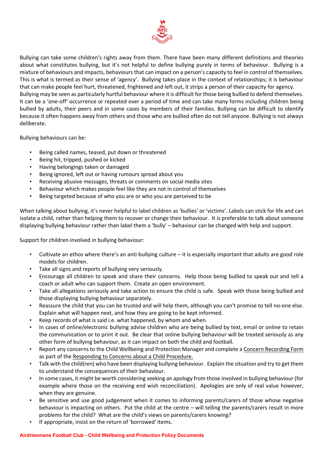

Bullying can take some children's rights away from them. There have been many different definitions and theories about what constitutes bullying, but it's not helpful to define bullying purely in terms of behaviour. Bullying is a mixture of behaviours and impacts, behaviours that can impact on a person's capacity to feel in control of themselves. This is what is termed as their sense of 'agency'. Bullying takes place in the context of relationships; it is behaviour that can make people feel hurt, threatened, frightened and left out, it strips a person of their capacity for agency. Bullying may be seen as particularly hurtful behaviour where it is difficult for those being bullied to defend themselves. It can be a 'one-off' occurrence or repeated over a period of time and can take many forms including children being bullied by adults, their peers and in some cases by members of their families. Bullying can be difficult to identify because it often happens away from others and those who are bullied often do not tell anyone. Bullying is not always deliberate.

Bullying behaviours can be:

- Being called names, teased, put down or threatened
- Being hit, tripped, pushed or kicked
- Having belongings taken or damaged
- Being ignored, left out or having rumours spread about you
- Receiving abusive messages, threats or comments on social media sites
- Behaviour which makes people feel like they are not in control of themselves
- Being targeted because of who you are or who you are perceived to be

When talking about bullying, it's never helpful to label children as 'bullies' or 'victims'. Labels can stick for life and can isolate a child, rather than helping them to recover or change their behaviour. It is preferable to talk about someone displaying bullying behaviour rather than label them a 'bully' – behaviour can be changed with help and support.

Support for children involved in bullying behaviour:

- Cultivate an ethos where there's an anti-bullying culture it is especially important that adults are good role models for children.
- Take all signs and reports of bullying very seriously.
- Encourage all children to speak and share their concerns. Help those being bullied to speak out and tell a coach or adult who can support them. Create an open environment.
- Take all allegations seriously and take action to ensure the child is safe. Speak with those being bullied and those displaying bullying behaviour separately.
- Reassure the child that you can be trusted and will help them, although you can't promise to tell no-one else. Explain what will happen next, and how they are going to be kept informed.
- Keep records of what is said i.e. what happened, by whom and when.
- In cases of online/electronic bullying advise children who are being bullied by text, email or online to retain the communication or to print it out. Be clear that online bullying behaviour will be treated seriously as any other form of bullying behaviour, as it can impact on both the child and football.
- Report any concerns to the Child Wellbeing and Protection Manager and complete a Concern Recording Form as part of the Responding to Concerns about a Child Procedure.
- Talk with the child(ren) who have been displaying bullying behaviour. Explain the situation and try to get them to understand the consequences of their behaviour.
- In some cases, it might be worth considering seeking an apology from those involved in bullying behaviour (for example where those on the receiving end wish reconciliation). Apologies are only of real value however, when they are genuine.
- Be sensitive and use good judgement when it comes to informing parents/carers of those whose negative behaviour is impacting on others. Put the child at the centre – will telling the parents/carers result in more problems for the child? What are the child's views on parents/carers knowing?
- If appropriate, insist on the return of 'borrowed' items.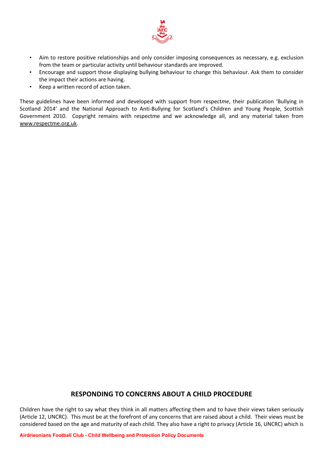

- Aim to restore positive relationships and only consider imposing consequences as necessary, e.g. exclusion from the team or particular activity until behaviour standards are improved.
- Encourage and support those displaying bullying behaviour to change this behaviour. Ask them to consider the impact their actions are having.
- Keep a written record of action taken.

These guidelines have been informed and developed with support from respect*me*, their publication 'Bullying in Scotland 2014' and the National Approach to Anti-Bullying for Scotland's Children and Young People, Scottish Government 2010. Copyright remains with respectme and we acknowledge all, and any material taken from www.respectme.org.uk.

### **RESPONDING TO CONCERNS ABOUT A CHILD PROCEDURE**

Children have the right to say what they think in all matters affecting them and to have their views taken seriously (Article 12, UNCRC). This must be at the forefront of any concerns that are raised about a child. Their views must be considered based on the age and maturity of each child. They also have a right to privacy (Article 16, UNCRC) which is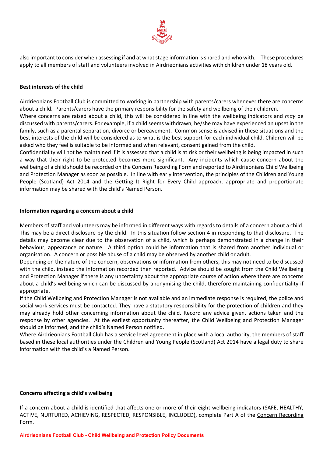

also important to consider when assessing if and at what stage information is shared and who with. These procedures apply to all members of staff and volunteers involved in Airdrieonians activities with children under 18 years old.

#### **Best interests of the child**

Airdrieonians Football Club is committed to working in partnership with parents/carers whenever there are concerns about a child. Parents/carers have the primary responsibility for the safety and wellbeing of their children.

Where concerns are raised about a child, this will be considered in line with the wellbeing indicators and *may* be discussed with parents/carers. For example, if a child seems withdrawn, he/she may have experienced an upset in the family, such as a parental separation, divorce or bereavement. Common sense is advised in these situations and the best interests of the child will be considered as to what is the best support for each individual child. Children will be asked who they feel is suitable to be informed and when relevant, consent gained from the child.

Confidentiality will not be maintained if it is assessed that a child is at risk or their wellbeing is being impacted in such a way that their right to be protected becomes more significant. Any incidents which cause concern about the wellbeing of a child should be recorded on the Concern Recording Form and reported to Airdrieonians Child Wellbeing and Protection Manager as soon as possible. In line with early intervention, the principles of the Children and Young People (Scotland) Act 2014 and the Getting It Right for Every Child approach, appropriate and proportionate information may be shared with the child's Named Person.

#### **Information regarding a concern about a child**

Members of staff and volunteers may be informed in different ways with regards to details of a concern about a child. This may be a direct disclosure by the child. In this situation follow section 4 in responding to that disclosure. The details may become clear due to the observation of a child, which is perhaps demonstrated in a change in their behaviour, appearance or nature. A third option could be information that is shared from another individual or organisation. A concern or possible abuse of a child may be observed by another child or adult.

Depending on the nature of the concern, observations or information from others, this may not need to be discussed with the child, instead the information recorded then reported. Advice should be sought from the Child Wellbeing and Protection Manager if there is any uncertainty about the appropriate course of action where there are concerns about a child's wellbeing which can be discussed by anonymising the child, therefore maintaining confidentiality if appropriate.

If the Child Wellbeing and Protection Manager is not available and an immediate response is required, the police and social work services must be contacted. They have a statutory responsibility for the protection of children and they may already hold other concerning information about the child. Record any advice given, actions taken and the response by other agencies. At the earliest opportunity thereafter, the Child Wellbeing and Protection Manager should be informed, and the child's Named Person notified.

Where Airdrieonians Football Club has a service level agreement in place with a local authority, the members of staff based in these local authorities under the Children and Young People (Scotland) Act 2014 have a legal duty to share information with the child's a Named Person.

#### **Concerns affecting a child's wellbeing**

If a concern about a child is identified that affects one or more of their eight wellbeing indicators (SAFE, HEALTHY, ACTIVE, NURTURED, ACHIEVING, RESPECTED, RESPONSIBLE, INCLUDED), complete Part A of the Concern Recording Form.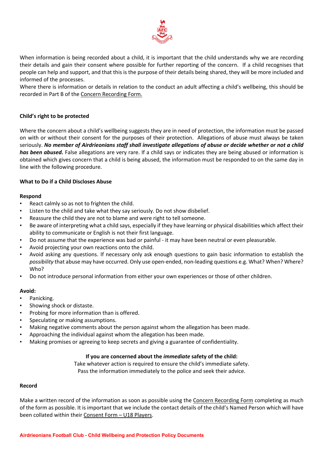

When information is being recorded about a child, it is important that the child understands why we are recording their details and gain their consent where possible for further reporting of the concern. If a child recognises that people can help and support, and that this is the purpose of their details being shared, they will be more included and informed of the processes.

Where there is information or details in relation to the conduct an adult affecting a child's wellbeing, this should be recorded in Part B of the Concern Recording Form.

#### **Child's right to be protected**

Where the concern about a child's wellbeing suggests they are in need of protection, the information must be passed on with or without their consent for the purposes of their protection. Allegations of abuse must always be taken seriously. No member of Airdrieonians staff shall investigate allegations of abuse or decide whether or not a child *has been abused.* False allegations are very rare. If a child says or indicates they are being abused or information is obtained which gives concern that a child is being abused, the information must be responded to on the same day in line with the following procedure.

#### **What to Do if a Child Discloses Abuse**

#### **Respond**

- React calmly so as not to frighten the child.
- Listen to the child and take what they say seriously. Do not show disbelief.
- Reassure the child they are not to blame and were right to tell someone.
- Be aware of interpreting what a child says, especially if they have learning or physical disabilities which affect their ability to communicate or English is not their first language.
- Do not assume that the experience was bad or painful it may have been neutral or even pleasurable.
- Avoid projecting your own reactions onto the child.
- Avoid asking any questions. If necessary only ask enough questions to gain basic information to establish the *possibility* that abuse may have occurred. Only use open-ended, non-leading questions e.g. What? When? Where? Who?
- Do not introduce personal information from either your own experiences or those of other children.

#### **Avoid:**

- Panicking.
- Showing shock or distaste.
- Probing for more information than is offered.
- Speculating or making assumptions.
- Making negative comments about the person against whom the allegation has been made.
- Approaching the individual against whom the allegation has been made.
- Making promises or agreeing to keep secrets and giving a guarantee of confidentiality.

#### **If you are concerned about the** *immediate* **safety of the child:**

Take whatever action is required to ensure the child's immediate safety. Pass the information immediately to the police and seek their advice.

#### **Record**

Make a written record of the information as soon as possible using the Concern Recording Form completing as much of the form as possible. It is important that we include the contact details of the child's Named Person which will have been collated within their Consent Form – U18 Players.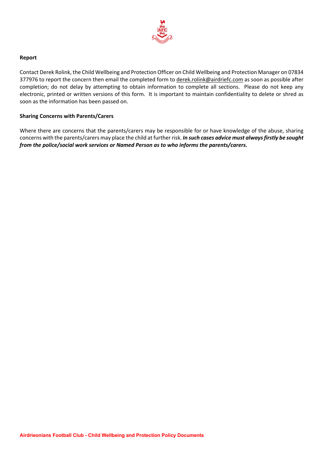

#### **Report**

Contact Derek Rolink, the Child Wellbeing and Protection Officer on Child Wellbeing and Protection Manager on 07834 377976 to report the concern then email the completed form to derek.rolink@airdriefc.com as soon as possible after completion; do not delay by attempting to obtain information to complete all sections. Please do not keep any electronic, printed or written versions of this form. It is important to maintain confidentiality to delete or shred as soon as the information has been passed on.

#### **Sharing Concerns with Parents/Carers**

Where there are concerns that the parents/carers may be responsible for or have knowledge of the abuse, sharing concerns with the parents/carers may place the child at further risk. *In such cases advice must alwaysfirstly be sought from the police/social work services or Named Person as to who informs the parents/carers.*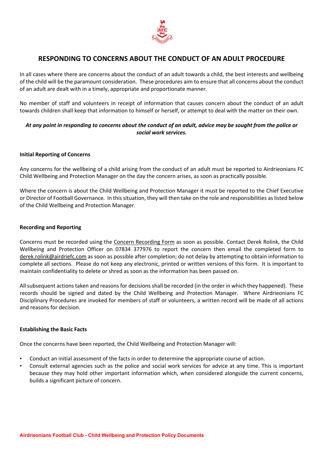

### **RESPONDING TO CONCERNS ABOUT THE CONDUCT OF AN ADULT PROCEDURE**

In all cases where there are concerns about the conduct of an adult towards a child, the best interests and wellbeing of the child will be the paramount consideration. These procedures aim to ensure that all concerns about the conduct of an adult are dealt with in a timely, appropriate and proportionate manner.

No member of staff and volunteers in receipt of information that causes concern about the conduct of an adult towards children shall keep that information to himself or herself, or attempt to deal with the matter on their own.

### At any point in responding to concerns about the conduct of an adult, advice may be sought from the police or *social work services.*

#### **Initial Reporting of Concerns**

Any concerns for the wellbeing of a child arising from the conduct of an adult must be reported to Airdrieonians FC Child Wellbeing and Protection Manager on the day the concern arises, as soon as practically possible.

Where the concern is about the Child Wellbeing and Protection Manager it must be reported to the Chief Executive or Director of Football Governance*.* In thissituation, they will then take on the role and responsibilities aslisted below of the Child Wellbeing and Protection Manager.

#### **Recording and Reporting**

Concerns must be recorded using the Concern Recording Form as soon as possible. Contact Derek Rolink, the Child Wellbeing and Protection Officer on 07834 377976 to report the concern then email the completed form to derek.rolink@airdriefc.com as soon as possible after completion; do not delay by attempting to obtain information to complete all sections. Please do not keep any electronic, printed or written versions of this form. It is important to maintain confidentiality to delete or shred as soon as the information has been passed on.

All subsequent actions taken and reasons for decisions shall be recorded (in the order in which they happened). These records should be signed and dated by the Child Wellbeing and Protection Manager. Where Airdrieonians FC Disciplinary Procedures are invoked for members of staff or volunteers, a written record will be made of all actions and reasons for decision.

#### **Establishing the Basic Facts**

Once the concerns have been reported, the Child Wellbeing and Protection Manager will:

- Conduct an initial assessment of the facts in order to determine the appropriate course of action.
- Consult external agencies such as the police and social work services for advice at any time. This is important because they may hold other important information which, when considered alongside the current concerns, builds a significant picture of concern.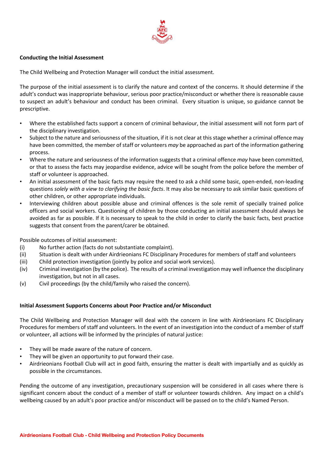

#### **Conducting the Initial Assessment**

The Child Wellbeing and Protection Manager will conduct the initial assessment.

The purpose of the initial assessment is to clarify the nature and context of the concerns. It should determine if the adult's conduct was inappropriate behaviour, serious poor practice/misconduct or whether there is reasonable cause to suspect an adult's behaviour and conduct has been criminal. Every situation is unique, so guidance cannot be prescriptive.

- Where the established facts support a concern of criminal behaviour, the initial assessment will not form part of the disciplinary investigation.
- Subject to the nature and seriousness of the situation, if it is not clear at this stage whether a criminal offence may have been committed, the member of staff or volunteers *may* be approached as part of the information gathering process.
- Where the nature and seriousness of the information suggests that a criminal offence *may* have been committed, or that to assess the facts may jeopardise evidence, advice will be sought from the police before the member of staff or volunteer is approached.
- An initial assessment of the basic facts may require the need to ask a child some basic, open-ended, non-leading questions *solely with a view to clarifying the basic facts*. It may also be necessary to ask similar basic questions of other children, or other appropriate individuals.
- Interviewing children about possible abuse and criminal offences is the sole remit of specially trained police officers and social workers. Questioning of children by those conducting an initial assessment should always be avoided as far as possible. If it is necessary to speak to the child in order to clarify the basic facts, best practice suggests that consent from the parent/carer be obtained.

Possible outcomes of initial assessment:

- (i) No further action (facts do not substantiate complaint).
- (ii) Situation is dealt with under Airdrieonians FC Disciplinary Procedures for members of staff and volunteers
- (iii) Child protection investigation (jointly by police and social work services).
- (iv) Criminal investigation (by the police). The results of a criminal investigation may well influence the disciplinary investigation, but not in all cases.
- (v) Civil proceedings (by the child/family who raised the concern).

#### **Initial Assessment Supports Concerns about Poor Practice and/or Misconduct**

The Child Wellbeing and Protection Manager will deal with the concern in line with Airdrieonians FC Disciplinary Procedures for members of staff and volunteers. In the event of an investigation into the conduct of a member of staff or volunteer, all actions will be informed by the principles of natural justice:

- They will be made aware of the nature of concern.
- They will be given an opportunity to put forward their case.
- Airdrieonians Football Club will act in good faith, ensuring the matter is dealt with impartially and as quickly as possible in the circumstances.

Pending the outcome of any investigation, precautionary suspension will be considered in all cases where there is significant concern about the conduct of a member of staff or volunteer towards children. Any impact on a child's wellbeing caused by an adult's poor practice and/or misconduct will be passed on to the child's Named Person.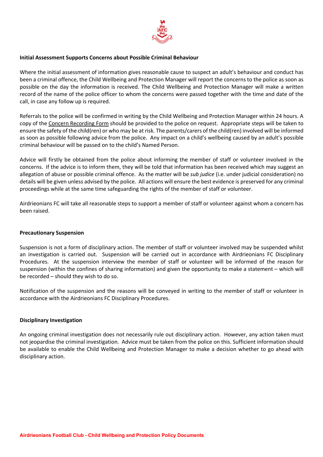

#### **Initial Assessment Supports Concerns about Possible Criminal Behaviour**

Where the initial assessment of information gives reasonable cause to suspect an adult's behaviour and conduct has been a criminal offence, the Child Wellbeing and Protection Manager will report the concerns to the police as soon as possible on the day the information is received. The Child Wellbeing and Protection Manager will make a written record of the name of the police officer to whom the concerns were passed together with the time and date of the call, in case any follow up is required.

Referrals to the police will be confirmed in writing by the Child Wellbeing and Protection Manager within 24 hours. A copy of the Concern Recording Form should be provided to the police on request. Appropriate steps will be taken to ensure the safety of the child(ren) or who may be at risk. The parents/carers of the child(ren) involved will be informed as soon as possible following advice from the police. Any impact on a child's wellbeing caused by an adult's possible criminal behaviour will be passed on to the child's Named Person.

Advice will firstly be obtained from the police about informing the member of staff or volunteer involved in the concerns. If the advice is to inform them, they will be told that information has been received which may suggest an allegation of abuse or possible criminal offence. As the matter will be *sub judice* (i.e. under judicial consideration) no details will be given unless advised by the police. All actions will ensure the best evidence is preserved for any criminal proceedings while at the same time safeguarding the rights of the member of staff or volunteer.

Airdrieonians FC will take all reasonable steps to support a member of staff or volunteer against whom a concern has been raised.

#### **Precautionary Suspension**

Suspension is not a form of disciplinary action. The member of staff or volunteer involved may be suspended whilst an investigation is carried out. Suspension will be carried out in accordance with Airdrieonians FC Disciplinary Procedures. At the suspension interview the member of staff or volunteer will be informed of the reason for suspension (within the confines of sharing information) and given the opportunity to make a statement – which will be recorded – should they wish to do so.

Notification of the suspension and the reasons will be conveyed in writing to the member of staff or volunteer in accordance with the Airdrieonians FC Disciplinary Procedures.

#### **Disciplinary Investigation**

An ongoing criminal investigation does not necessarily rule out disciplinary action. However, any action taken must not jeopardise the criminal investigation. Advice must be taken from the police on this. Sufficient information should be available to enable the Child Wellbeing and Protection Manager to make a decision whether to go ahead with disciplinary action.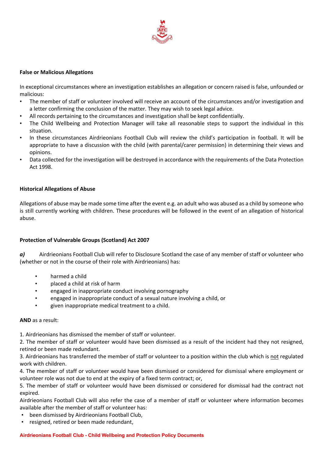

#### **False or Malicious Allegations**

In exceptional circumstances where an investigation establishes an allegation or concern raised is false, unfounded or malicious:

- The member of staff or volunteer involved will receive an account of the circumstances and/or investigation and a letter confirming the conclusion of the matter. They may wish to seek legal advice.
- All records pertaining to the circumstances and investigation shall be kept confidentially.
- The Child Wellbeing and Protection Manager will take all reasonable steps to support the individual in this situation.
- In these circumstances Airdrieonians Football Club will review the child's participation in football. It will be appropriate to have a discussion with the child (with parental/carer permission) in determining their views and opinions.
- Data collected for the investigation will be destroyed in accordance with the requirements of the Data Protection Act 1998.

#### **Historical Allegations of Abuse**

Allegations of abuse may be made some time after the event e.g. an adult who was abused as a child by someone who is still currently working with children. These procedures will be followed in the event of an allegation of historical abuse.

#### **Protection of Vulnerable Groups (Scotland) Act 2007**

*a)* Airdrieonians Football Club will refer to Disclosure Scotland the case of any member of staff or volunteer who (whether or not in the course of their role with Airdrieonians) has:

- harmed a child
- placed a child at risk of harm
- engaged in inappropriate conduct involving pornography
- engaged in inappropriate conduct of a sexual nature involving a child, or
- given inappropriate medical treatment to a child.

#### **AND** as a result:

1. Airdrieonians has dismissed the member of staff or volunteer.

2. The member of staff or volunteer would have been dismissed as a result of the incident had they not resigned, retired or been made redundant.

3. Airdrieonians has transferred the member of staff or volunteer to a position within the club which is not regulated work with children.

4. The member of staff or volunteer would have been dismissed or considered for dismissal where employment or volunteer role was not due to end at the expiry of a fixed term contract; or,

5. The member of staff or volunteer would have been dismissed or considered for dismissal had the contract not expired.

Airdrieonians Football Club will also refer the case of a member of staff or volunteer where information becomes available after the member of staff or volunteer has:

- been dismissed by Airdrieonians Football Club,
- resigned, retired or been made redundant,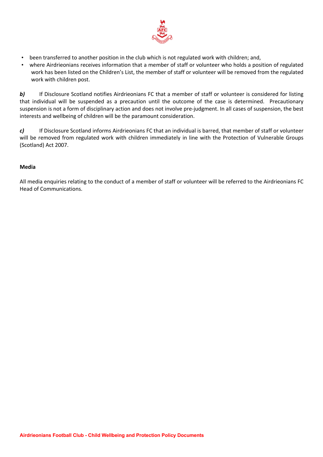

- been transferred to another position in the club which is not regulated work with children; and,
- where Airdrieonians receives information that a member of staff or volunteer who holds a position of regulated work has been listed on the Children's List, the member of staff or volunteer will be removed from the regulated work with children post.

*b)* If Disclosure Scotland notifies Airdrieonians FC that a member of staff or volunteer is considered for listing that individual will be suspended as a precaution until the outcome of the case is determined. Precautionary suspension is not a form of disciplinary action and does not involve pre-judgment. In all cases of suspension, the best interests and wellbeing of children will be the paramount consideration.

*c)* If Disclosure Scotland informs Airdrieonians FC that an individual is barred, that member of staff or volunteer will be removed from regulated work with children immediately in line with the Protection of Vulnerable Groups (Scotland) Act 2007.

### **Media**

All media enquiries relating to the conduct of a member of staff or volunteer will be referred to the Airdrieonians FC Head of Communications.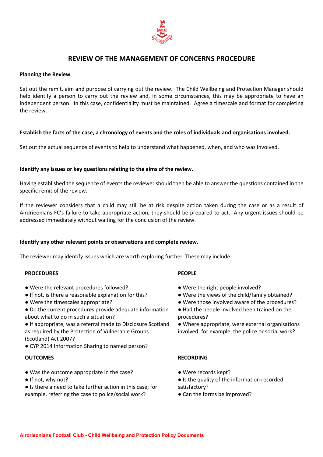

### **REVIEW OF THE MANAGEMENT OF CONCERNS PROCEDURE**

#### **Planning the Review**

Set out the remit, aim and purpose of carrying out the review. The Child Wellbeing and Protection Manager should help identify a person to carry out the review and, in some circumstances, this may be appropriate to have an independent person. In this case, confidentiality must be maintained. Agree a timescale and format for completing the review.

#### Establish the facts of the case, a chronology of events and the roles of individuals and organisations involved.

Set out the actual sequence of events to help to understand what happened, when, and who was involved.

#### **Identify any issues or key questions relating to the aims of the review.**

Having established the sequence of events the reviewer should then be able to answer the questions contained in the specific remit of the review.

If the reviewer considers that a child may still be at risk despite action taken during the case or as a result of Airdrieonians FC's failure to take appropriate action, they should be prepared to act. Any urgent issues should be addressed immediately without waiting for the conclusion of the review.

#### **Identify any other relevant points or observations and complete review.**

The reviewer may identify issues which are worth exploring further. These may include:

#### **PROCEDURES**

- Were the relevant procedures followed?
- If not, is there a reasonable explanation for this?
- Were the timescales appropriate?
- Do the current procedures provide adequate information about what to do in such a situation?
- If appropriate, was a referral made to Disclosure Scotland as required by the Protection of Vulnerable Groups (Scotland) Act 2007?
- CYP 2014 Information Sharing to named person?

#### **OUTCOMES**

- Was the outcome appropriate in the case?
- If not, why not?
- Is there a need to take further action in this case; for example, referring the case to police/social work?

#### **PEOPLE**

- Were the right people involved?
- Were the views of the child/family obtained?
- Were those involved aware of the procedures?
- Had the people involved been trained on the procedures?
- Where appropriate, were external organisations involved; for example, the police or social work?

#### **RECORDING**

- Were records kept?
- Is the quality of the information recorded satisfactory?
- Can the forms be improved?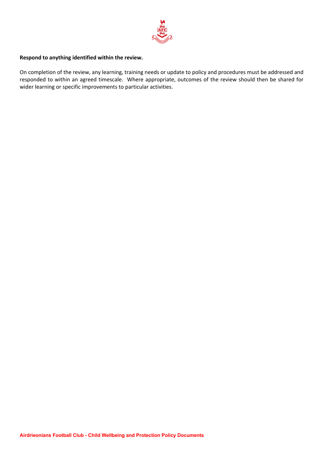

#### **Respond to anything identified within the review.**

On completion of the review, any learning, training needs or update to policy and procedures must be addressed and responded to within an agreed timescale. Where appropriate, outcomes of the review should then be shared for wider learning or specific improvements to particular activities.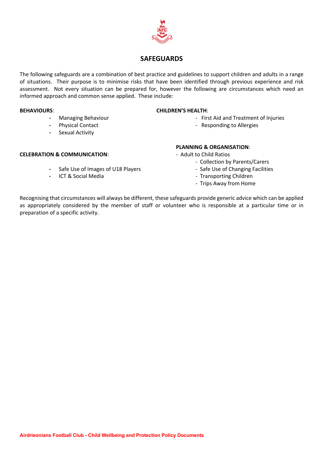

### **SAFEGUARDS**

The following safeguards are a combination of best practice and guidelines to support children and adults in a range of situations. Their purpose is to minimise risks that have been identified through previous experience and risk assessment. Not every situation can be prepared for, however the following are circumstances which need an informed approach and common sense applied. These include:

- 
- 
- Sexual Activity

#### **BEHAVIOURS**: **CHILDREN'S HEALTH**:

- Managing Behaviour  **First Aid and Treatment of Injuries**
- Physical Contact  **Responding to Allergies** Responding to Allergies

#### **PLANNING & ORGANISATION**:

- - Collection by Parents/Carers
	-
	-
	- Trips Away from Home

Recognising that circumstances will always be different, these safeguards provide generic advice which can be applied as appropriately considered by the member of staff or volunteer who is responsible at a particular time or in preparation of a specific activity.

- **CELEBRATION & COMMUNICATION**: Adult to Child Ratios
	- Safe Use of Images of U18 Players Safe Use of Changing Facilities
	- ICT & Social Media Transporting Children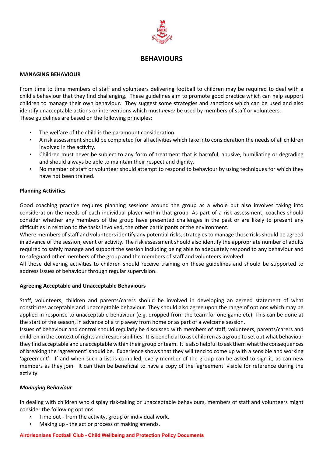

### **BEHAVIOURS**

#### **MANAGING BEHAVIOUR**

From time to time members of staff and volunteers delivering football to children may be required to deal with a child's behaviour that they find challenging. These guidelines aim to promote good practice which can help support children to manage their own behaviour. They suggest some strategies and sanctions which can be used and also identify unacceptable actions or interventions which must *never* be used by members of staff or volunteers. These guidelines are based on the following principles:

- The welfare of the child is the paramount consideration.
- A risk assessment should be completed for all activities which take into consideration the needs of all children involved in the activity.
- Children must never be subject to any form of treatment that is harmful, abusive, humiliating or degrading and should always be able to maintain their respect and dignity.
- No member of staff or volunteer should attempt to respond to behaviour by using techniques for which they have not been trained.

#### **Planning Activities**

Good coaching practice requires planning sessions around the group as a whole but also involves taking into consideration the needs of each individual player within that group. As part of a risk assessment, coaches should consider whether any members of the group have presented challenges in the past or are likely to present any difficulties in relation to the tasks involved, the other participants or the environment.

Where members of staff and volunteers identify any potential risks, strategies to manage those risks should be agreed in advance of the session, event or activity. The risk assessment should also identify the appropriate number of adults required to safely manage and support the session including being able to adequately respond to any behaviour and to safeguard other members of the group and the members of staff and volunteers involved.

All those delivering activities to children should receive training on these guidelines and should be supported to address issues of behaviour through regular supervision.

#### **Agreeing Acceptable and Unacceptable Behaviours**

Staff, volunteers, children and parents/carers should be involved in developing an agreed statement of what constitutes acceptable and unacceptable behaviour. They should also agree upon the range of options which may be applied in response to unacceptable behaviour (e.g. dropped from the team for one game etc). This can be done at the start of the season, in advance of a trip away from home or as part of a welcome session.

Issues of behaviour and control should regularly be discussed with members of staff, volunteers, parents/carers and children in the context of rights and responsibilities. It is beneficial to ask children as a group to set out what behaviour they find acceptable and unacceptable within their group orteam. It is also helpful to ask them what the consequences of breaking the 'agreement' should be. Experience shows that they will tend to come up with a sensible and working 'agreement'. If and when such a list is compiled, every member of the group can be asked to sign it, as can new members as they join. It can then be beneficial to have a copy of the 'agreement' visible for reference during the activity.

#### *Managing Behaviour*

In dealing with children who display risk-taking or unacceptable behaviours, members of staff and volunteers might consider the following options:

- Time out from the activity, group or individual work.
- Making up the act or process of making amends.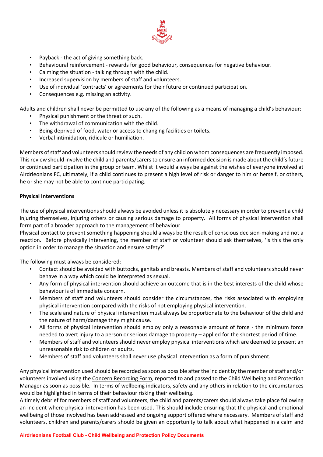

- Payback the act of giving something back.
- Behavioural reinforcement rewards for good behaviour, consequences for negative behaviour.
- Calming the situation talking through with the child.
- Increased supervision by members of staff and volunteers.
- Use of individual 'contracts' or agreements for their future or continued participation.
- Consequences e.g. missing an activity.

Adults and children shall never be permitted to use any of the following as a means of managing a child's behaviour:

- Physical punishment or the threat of such.
- The withdrawal of communication with the child.
- Being deprived of food, water or access to changing facilities or toilets.
- Verbal intimidation, ridicule or humiliation.

Members of staff and volunteers should review the needs of any child on whom consequences are frequently imposed. This review should involve the child and parents/carers to ensure an informed decision is made about the child's future or continued participation in the group or team. Whilst it would always be against the wishes of everyone involved at Airdrieonians FC, ultimately, if a child continues to present a high level of risk or danger to him or herself, or others, he or she may not be able to continue participating.

#### **Physical Interventions**

The use of physical interventions should always be avoided unless it is absolutely necessary in order to prevent a child injuring themselves, injuring others or causing serious damage to property. All forms of physical intervention shall form part of a broader approach to the management of behaviour.

Physical contact to prevent something happening should always be the result of conscious decision-making and not a reaction. Before physically intervening, the member of staff or volunteer should ask themselves, 'Is this the only option in order to manage the situation and ensure safety?'

The following must always be considered:

- Contact should be avoided with buttocks, genitals and breasts. Members of staff and volunteers should never behave in a way which could be interpreted as sexual.
- Any form of physical intervention should achieve an outcome that is in the best interests of the child whose behaviour is of immediate concern.
- Members of staff and volunteers should consider the circumstances, the risks associated with employing physical intervention compared with the risks of not employing physical intervention.
- The scale and nature of physical intervention must always be proportionate to the behaviour of the child and the nature of harm/damage they might cause.
- All forms of physical intervention should employ only a reasonable amount of force the minimum force needed to avert injury to a person or serious damage to property – applied for the shortest period of time.
- Members of staff and volunteers should never employ physical interventions which are deemed to present an unreasonable risk to children or adults.
- Members of staff and volunteers shall never use physical intervention as a form of punishment.

Any physical intervention used should be recorded assoon as possible after the incident by the member ofstaff and/or volunteers involved using the Concern Recording Form, reported to and passed to the Child Wellbeing and Protection Manager as soon as possible. In terms of wellbeing indicators, safety and any others in relation to the circumstances would be highlighted in terms of their behaviour risking their wellbeing.

A timely debrief for members of staff and volunteers, the child and parents/carers should always take place following an incident where physical intervention has been used. This should include ensuring that the physical and emotional wellbeing of those involved has been addressed and ongoing support offered where necessary. Members of staff and volunteers, children and parents/carers should be given an opportunity to talk about what happened in a calm and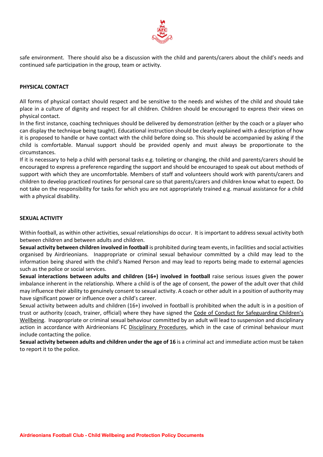

safe environment. There should also be a discussion with the child and parents/carers about the child's needs and continued safe participation in the group, team or activity.

#### **PHYSICAL CONTACT**

All forms of physical contact should respect and be sensitive to the needs and wishes of the child and should take place in a culture of dignity and respect for all children. Children should be encouraged to express their views on physical contact.

In the first instance, coaching techniques should be delivered by demonstration (either by the coach or a player who can display the technique being taught). Educational instruction should be clearly explained with a description of how it is proposed to handle or have contact with the child before doing so. This should be accompanied by asking if the child is comfortable. Manual support should be provided openly and must always be proportionate to the circumstances.

If it is necessary to help a child with personal tasks e.g. toileting or changing, the child and parents/carers should be encouraged to express a preference regarding the support and should be encouraged to speak out about methods of support with which they are uncomfortable. Members of staff and volunteers should work with parents/carers and children to develop practiced routines for personal care so that parents/carers and children know what to expect. Do not take on the responsibility for tasks for which you are not appropriately trained e.g. manual assistance for a child with a physical disability.

#### **SEXUAL ACTIVITY**

Within football, as within other activities, sexual relationships do occur. It is important to address sexual activity both between children and between adults and children.

**Sexual activity between children involved in football** is prohibited during team events, in facilities and social activities organised by Airdrieonians. Inappropriate or criminal sexual behaviour committed by a child may lead to the information being shared with the child's Named Person and may lead to reports being made to external agencies such as the police or social services.

**Sexual interactions between adults and children (16+) involved in football** raise serious issues given the power imbalance inherent in the relationship. Where a child is of the age of consent, the power of the adult over that child may influence their ability to genuinely consent to sexual activity. A coach or other adult in a position of authority may have significant power or influence over a child's career.

Sexual activity between adults and children (16+) involved in football is prohibited when the adult is in a position of trust or authority (coach, trainer, official) where they have signed the Code of Conduct for Safeguarding Children's Wellbeing. Inappropriate or criminal sexual behaviour committed by an adult will lead to suspension and disciplinary action in accordance with Airdrieonians FC Disciplinary Procedures, which in the case of criminal behaviour must include contacting the police.

**Sexual activity between adults and children under the age of 16** is a criminal act and immediate action must be taken to report it to the police.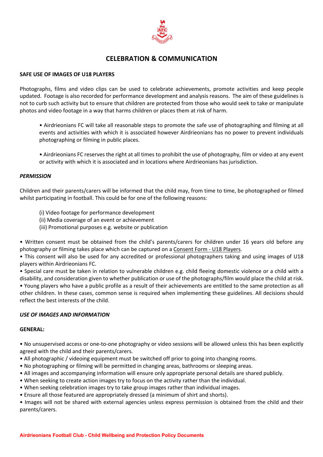

### **CELEBRATION & COMMUNICATION**

#### **SAFE USE OF IMAGES OF U18 PLAYERS**

Photographs, films and video clips can be used to celebrate achievements, promote activities and keep people updated. Footage is also recorded for performance development and analysis reasons. The aim of these guidelines is not to curb such activity but to ensure that children are protected from those who would seek to take or manipulate photos and video footage in a way that harms children or places them at risk of harm.

• Airdrieonians FC will take all reasonable steps to promote the safe use of photographing and filming at all events and activities with which it is associated however Airdrieonians has no power to prevent individuals photographing or filming in public places.

• Airdrieonians FC reserves the right at all times to prohibit the use of photography, film or video at any event or activity with which it is associated and in locations where Airdrieonians has jurisdiction.

#### *PERMISSION*

Children and their parents/carers will be informed that the child may, from time to time, be photographed or filmed whilst participating in football. This could be for one of the following reasons:

- (i) Video footage for performance development
- (ii) Media coverage of an event or achievement
- (iii) Promotional purposes e.g. website or publication

• Written consent must be obtained from the child's parents/carers for children under 16 years old before any photography or filming takes place which can be captured on a Consent Form - U18 Players.

• This consent will also be used for any accredited or professional photographers taking and using images of U18 players within Airdrieonians FC.

• Special care must be taken in relation to vulnerable children e.g. child fleeing domestic violence or a child with a disability, and consideration given to whether publication or use of the photographs/film would place the child at risk. • Young players who have a public profile as a result of their achievements are entitled to the same protection as all other children. In these cases, common sense is required when implementing these guidelines. All decisions should reflect the best interests of the child.

#### *USE OF IMAGES AND INFORMATION*

#### **GENERAL:**

• No unsupervised access or one-to-one photography or video sessions will be allowed unless this has been explicitly agreed with the child and their parents/carers.

- All photographic / videoing equipment must be switched off prior to going into changing rooms.
- No photographing or filming will be permitted in changing areas, bathrooms or sleeping areas.
- All images and accompanying information will ensure only appropriate personal details are shared publicly.
- When seeking to create action images try to focus on the activity rather than the individual.
- When seeking celebration images try to take group images rather than individual images.
- Ensure all those featured are appropriately dressed (a minimum of shirt and shorts).

• Images will not be shared with external agencies unless express permission is obtained from the child and their parents/carers.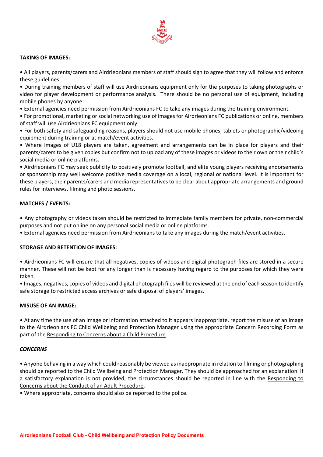

#### **TAKING OF IMAGES:**

• All players, parents/carers and Airdrieonians members of staff should sign to agree that they will follow and enforce these guidelines.

• During training members of staff will use Airdrieonians equipment only for the purposes to taking photographs or video for player development or performance analysis. There should be no personal use of equipment, including mobile phones by anyone.

• External agencies need permission from Airdrieonians FC to take any images during the training environment.

• For promotional, marketing or social networking use of images for Airdrieonians FC publications or online, members of staff will use Airdrieonians FC equipment only.

• For both safety and safeguarding reasons, players should not use mobile phones, tablets or photographic/videoing equipment during training or at match/event activities.

• Where images of U18 players are taken, agreement and arrangements can be in place for players and their parents/carers to be given copies but confirm not to upload any of these images or videos to their own or their child's social media or online platforms.

• Airdrieonians FC may seek publicity to positively promote football, and elite young players receiving endorsements or sponsorship may well welcome positive media coverage on a local, regional or national level. It is important for these players, their parents/carers and media representatives to be clear about appropriate arrangements and ground rules for interviews, filming and photo sessions.

#### **MATCHES / EVENTS:**

• Any photography or videos taken should be restricted to immediate family members for private, non-commercial purposes and not put online on any personal social media or online platforms.

• External agencies need permission from Airdrieonians to take any images during the match/event activities.

#### **STORAGE AND RETENTION OF IMAGES:**

• Airdrieonians FC will ensure that all negatives, copies of videos and digital photograph files are stored in a secure manner. These will not be kept for any longer than is necessary having regard to the purposes for which they were taken.

• Images, negatives, copies of videos and digital photograph files will be reviewed at the end of each season to identify safe storage to restricted access archives or safe disposal of players' images.

#### **MISUSE OF AN IMAGE:**

• At any time the use of an image or information attached to it appears inappropriate, report the misuse of an image to the Airdrieonians FC Child Wellbeing and Protection Manager using the appropriate Concern Recording Form as part of the Responding to Concerns about a Child Procedure.

#### *CONCERNS*

• Anyone behaving in a way which could reasonably be viewed asinappropriate in relation to filming or photographing should be reported to the Child Wellbeing and Protection Manager. They should be approached for an explanation. If a satisfactory explanation is not provided, the circumstances should be reported in line with the Responding to Concerns about the Conduct of an Adult Procedure.

• Where appropriate, concerns should also be reported to the police.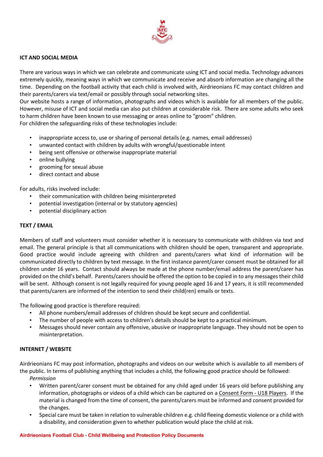

#### **ICT AND SOCIAL MEDIA**

There are various ways in which we can celebrate and communicate using ICT and social media. Technology advances extremely quickly, meaning ways in which we communicate and receive and absorb information are changing all the time. Depending on the football activity that each child is involved with, Airdrieonians FC may contact children and their parents/carers via text/email or possibly through social networking sites.

Our website hosts a range of information, photographs and videos which is available for all members of the public. However, misuse of ICT and social media can also put children at considerable risk. There are some adults who seek to harm children have been known to use messaging or areas online to "groom" children.

For children the safeguarding risks of these technologies include:

- inappropriate access to, use or sharing of personal details (e.g. names, email addresses)
- unwanted contact with children by adults with wrongful/questionable intent
- being sent offensive or otherwise inappropriate material
- online bullying
- grooming for sexual abuse
- direct contact and abuse

For adults, risks involved include:

- their communication with children being misinterpreted
- potential investigation (internal or by statutory agencies)
- potential disciplinary action

#### **TEXT / EMAIL**

Members of staff and volunteers must consider whether it is necessary to communicate with children via text and email. The general principle is that all communications with children should be open, transparent and appropriate. Good practice would include agreeing with children and parents/carers what kind of information will be communicated directly to children by text message. In the first instance parent/carer consent must be obtained for all children under 16 years. Contact should always be made at the phone number/email address the parent/carer has provided on the child's behalf. Parents/carersshould be offered the option to be copied in to any messagestheir child will be sent. Although consent is not legally required for young people aged 16 and 17 years, it is still recommended that parents/carers are informed of the intention to send their child(ren) emails or texts.

The following good practice is therefore required:

- All phone numbers/email addresses of children should be kept secure and confidential.
- The number of people with access to children's details should be kept to a practical minimum.
- Messages should never contain any offensive, abusive or inappropriate language. They should not be open to misinterpretation.

#### **INTERNET / WEBSITE**

Airdrieonians FC may post information, photographs and videos on our website which is available to all members of the public. In terms of publishing anything that includes a child, the following good practice should be followed: *Permission*

- Written parent/carer consent must be obtained for any child aged under 16 years old before publishing any information, photographs or videos of a child which can be captured on a Consent Form - U18 Players. If the material is changed from the time of consent, the parents/carers must be informed and consent provided for the changes.
- Special care must be taken in relation to vulnerable children e.g. child fleeing domestic violence or a child with a disability, and consideration given to whether publication would place the child at risk.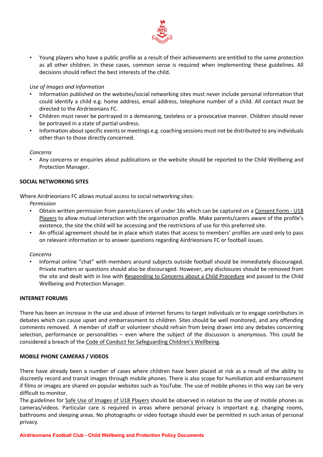

• Young players who have a public profile as a result of their achievements are entitled to the same protection as all other children. In these cases, common sense is required when implementing these guidelines. All decisions should reflect the best interests of the child.

#### *Use of Images and Information*

- Information published on the websites/social networking sites must never include personal information that could identify a child e.g. home address, email address, telephone number of a child. All contact must be directed to the Airdrieonians FC.
- Children must never be portrayed in a demeaning, tasteless or a provocative manner. Children should never be portrayed in a state of partial undress.
- Information about specific events or meetings e.g. coaching sessions must not be distributed to any individuals other than to those directly concerned.

*Concerns*

• Any concerns or enquiries about publications or the website should be reported to the Child Wellbeing and Protection Manager.

#### **SOCIAL NETWORKING SITES**

Where Airdrieonians FC allows mutual access to social networking sites:

*Permission*

- Obtain written permission from parents/carers of under 16s which can be captured on a Consent Form U18 Players to allow mutual interaction with the organisation profile. Make parents/carers aware of the profile's existence, the site the child will be accessing and the restrictions of use for this preferred site.
- An official agreement should be in place which states that access to members' profiles are used only to pass on relevant information or to answer questions regarding Airdrieonians FC or football issues.

#### *Concerns*

• Informal online "chat" with members around subjects outside football should be immediately discouraged. Private matters or questions should also be discouraged. However, any disclosures should be removed from the site and dealt with in line with Responding to Concerns about a Child Procedure and passed to the Child Wellbeing and Protection Manager.

#### **INTERNET FORUMS**

There has been an increase in the use and abuse of internet forums to target individuals or to engage contributors in debates which can cause upset and embarrassment to children. Sites should be well monitored, and any offending comments removed. A member of staff or volunteer should refrain from being drawn into any debates concerning selection, performance or personalities – even where the subject of the discussion is anonymous. This could be considered a breach of the Code of Conduct for Safeguarding Children's Wellbeing.

#### **MOBILE PHONE CAMERAS / VIDEOS**

There have already been a number of cases where children have been placed at risk as a result of the ability to discreetly record and transit images through mobile phones. There is also scope for humiliation and embarrassment if films or images are shared on popular websites such as YouTube. The use of mobile phones in this way can be very difficult to monitor.

The guidelines for Safe Use of Images of U18 Players should be observed in relation to the use of mobile phones as cameras/videos. Particular care is required in areas where personal privacy is important e.g. changing rooms, bathrooms and sleeping areas. No photographs or video footage should ever be permitted in such areas of personal privacy.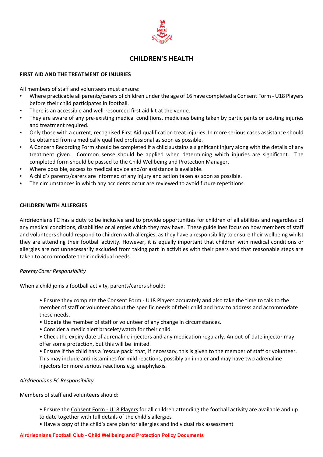

### **CHILDREN'S HEALTH**

#### **FIRST AID AND THE TREATMENT OF INJURIES**

All members of staff and volunteers must ensure:

- Where practicable all parents/carers of children under the age of 16 have completed a Consent Form U18 Players before their child participates in football.
- There is an accessible and well-resourced first aid kit at the venue.
- They are aware of any pre-existing medical conditions, medicines being taken by participants or existing injuries and treatment required.
- Only those with a current, recognised First Aid qualification treat injuries. In more serious cases assistance should be obtained from a medically qualified professional as soon as possible.
- A Concern Recording Form should be completed if a child sustains a significant injury along with the details of any treatment given. Common sense should be applied when determining which injuries are significant. The completed form should be passed to the Child Wellbeing and Protection Manager.
- Where possible, access to medical advice and/or assistance is available.
- A child's parents/carers are informed of any injury and action taken as soon as possible.
- The circumstances in which any accidents occur are reviewed to avoid future repetitions.

#### **CHILDREN WITH ALLERGIES**

Airdrieonians FC has a duty to be inclusive and to provide opportunities for children of all abilities and regardless of any medical conditions, disabilities or allergies which they may have. These guidelines focus on how members of staff and volunteers should respond to children with allergies, as they have a responsibility to ensure their wellbeing whilst they are attending their football activity. However, it is equally important that children with medical conditions or allergies are not unnecessarily excluded from taking part in activities with their peers and that reasonable steps are taken to accommodate their individual needs.

#### *Parent/Carer Responsibility*

When a child joins a football activity, parents/carers should:

- Ensure they complete the Consent Form U18 Players accurately **and** also take the time to talk to the member of staff or volunteer about the specific needs of their child and how to address and accommodate these needs.
- Update the member of staff or volunteer of any change in circumstances.
- Consider a medic alert bracelet/watch for their child.
- Check the expiry date of adrenaline injectors and any medication regularly. An out-of-date injector may offer some protection, but this will be limited.
- Ensure if the child has a 'rescue pack' that, if necessary, this is given to the member of staff or volunteer. This may include antihistamines for mild reactions, possibly an inhaler and may have two adrenaline injectors for more serious reactions e.g. anaphylaxis.

#### *Airdrieonians FC Responsibility*

Members of staff and volunteers should:

- Ensure the Consent Form U18 Players for all children attending the football activity are available and up
- to date together with full details of the child's allergies
- Have a copy of the child's care plan for allergies and individual risk assessment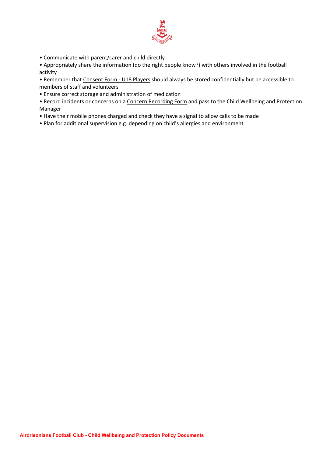

• Communicate with parent/carer and child directly

• Appropriately share the information (do the right people know?) with others involved in the football activity

• Remember that Consent Form - U18 Players should always be stored confidentially but be accessible to members of staff and volunteers

• Ensure correct storage and administration of medication

• Record incidents or concerns on a Concern Recording Form and pass to the Child Wellbeing and Protection Manager

- Have their mobile phones charged and check they have a signal to allow calls to be made
- Plan for additional supervision e.g. depending on child's allergies and environment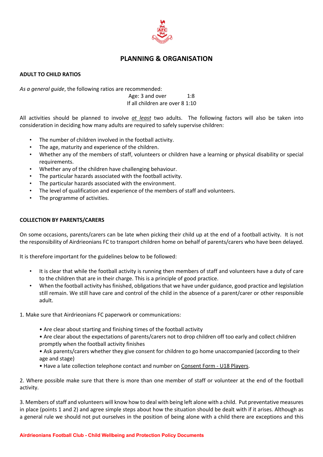

### **PLANNING & ORGANISATION**

### **ADULT TO CHILD RATIOS**

*As a general guide*, the following ratios are recommended:

Age: 3 and over 1:8 If all children are over 8 1:10

All activities should be planned to involve *at least* two adults. The following factors will also be taken into consideration in deciding how many adults are required to safely supervise children:

- The number of children involved in the football activity.
- The age, maturity and experience of the children.
- Whether any of the members of staff, volunteers or children have a learning or physical disability or special requirements.
- Whether any of the children have challenging behaviour.
- The particular hazards associated with the football activity.
- The particular hazards associated with the environment.
- The level of qualification and experience of the members of staff and volunteers.
- The programme of activities.

#### **COLLECTION BY PARENTS/CARERS**

On some occasions, parents/carers can be late when picking their child up at the end of a football activity. It is not the responsibility of Airdrieonians FC to transport children home on behalf of parents/carers who have been delayed.

It is therefore important for the guidelines below to be followed:

- It is clear that while the football activity is running then members of staff and volunteers have a duty of care to the children that are in their charge. This is a principle of good practice.
- When the football activity has finished, obligations that we have under guidance, good practice and legislation still remain. We still have care and control of the child in the absence of a parent/carer or other responsible adult.
- 1. Make sure that Airdrieonians FC paperwork or communications:
	- Are clear about starting and finishing times of the football activity
	- Are clear about the expectations of parents/carers not to drop children off too early and collect children promptly when the football activity finishes
	- Ask parents/carers whether they give consent for children to go home unaccompanied (according to their age and stage)
	- Have a late collection telephone contact and number on Consent Form U18 Players.

2. Where possible make sure that there is more than one member of staff or volunteer at the end of the football activity.

3. Members ofstaff and volunteers will know how to deal with being left alone with a child. Put preventative measures in place (points 1 and 2) and agree simple steps about how the situation should be dealt with if it arises. Although as a general rule we should not put ourselves in the position of being alone with a child there are exceptions and this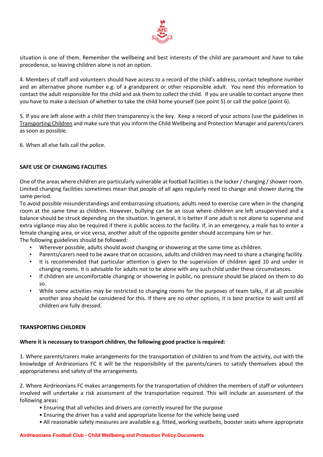

situation is one of them. Remember the wellbeing and best interests of the child are paramount and have to take precedence, so leaving children alone is not an option.

4. Members of staff and volunteers should have access to a record of the child's address, contact telephone number and an alternative phone number e.g. of a grandparent or other responsible adult. You need this information to contact the adult responsible for the child and ask them to collect the child. If you are unable to contact anyone then you have to make a decision of whether to take the child home yourself (see point 5) or call the police (point 6).

5. If you are left alone with a child then transparency is the key. Keep a record of your actions (use the guidelines in Transporting Children and make sure that you inform the Child Wellbeing and Protection Manager and parents/carers as soon as possible.

6. When all else fails call the police.

### **SAFE USE OF CHANGING FACILITIES**

One of the areas where children are particularly vulnerable at football facilities is the locker / changing / shower room. Limited changing facilities sometimes mean that people of all ages regularly need to change and shower during the same period.

To avoid possible misunderstandings and embarrassing situations, adults need to exercise care when in the changing room at the same time as children. However, bullying can be an issue where children are left unsupervised and a balance should be struck depending on the situation. In general, it is better if one adult is not alone to supervise and extra vigilance may also be required if there is public access to the facility. If, in an emergency, a male has to enter a female changing area, or vice versa, another adult of the opposite gender should accompany him or her. The following guidelines should be followed:

- Wherever possible, adults should avoid changing or showering at the same time as children.
- Parents/carers need to be aware that on occasions, adults and children may need to share a changing facility. • It is recommended that particular attention is given to the supervision of children aged 10 and under in
- changing rooms. It is advisable for adults not to be alone with any such child under these circumstances.
- If children are uncomfortable changing or showering in public, no pressure should be placed on them to do so.
- While some activities may be restricted to changing rooms for the purposes of team talks, if at all possible another area should be considered for this. If there are no other options, it is best practice to wait until all children are fully dressed.

#### **TRANSPORTING CHILDREN**

### **Where it is necessary to transport children, the following good practice is required:**

1. Where parents/carers make arrangements for the transportation of children to and from the activity, out with the knowledge of Airdrieonians FC it will be the responsibility of the parents/carers to satisfy themselves about the appropriateness and safety of the arrangements.

2. Where Airdrieonians FC makes arrangements for the transportation of children the members of staff or volunteers involved will undertake a risk assessment of the transportation required. This will include an assessment of the following areas:

- Ensuring that all vehicles and drivers are correctly insured for the purpose
- Ensuring the driver has a valid and appropriate license for the vehicle being used
- All reasonable safety measures are available e.g. fitted, working seatbelts, booster seats where appropriate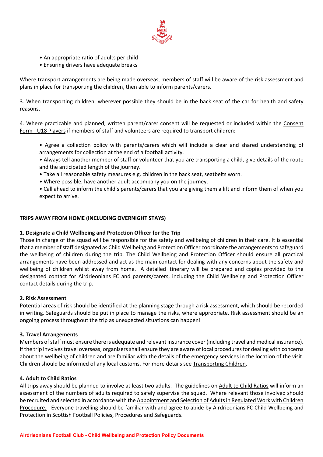

- An appropriate ratio of adults per child
- Ensuring drivers have adequate breaks

Where transport arrangements are being made overseas, members of staff will be aware of the risk assessment and plans in place for transporting the children, then able to inform parents/carers.

3. When transporting children, wherever possible they should be in the back seat of the car for health and safety reasons.

4. Where practicable and planned, written parent/carer consent will be requested or included within the Consent Form - U18 Players if members of staff and volunteers are required to transport children:

- Agree a collection policy with parents/carers which will include a clear and shared understanding of arrangements for collection at the end of a football activity.
- Always tell another member of staff or volunteer that you are transporting a child, give details of the route and the anticipated length of the journey.
- Take all reasonable safety measures e.g. children in the back seat, seatbelts worn.
- Where possible, have another adult accompany you on the journey.
- Call ahead to inform the child's parents/carers that you are giving them a lift and inform them of when you expect to arrive.

### **TRIPS AWAY FROM HOME (INCLUDING OVERNIGHT STAYS)**

### **1. Designate a Child Wellbeing and Protection Officer for the Trip**

Those in charge of the squad will be responsible for the safety and wellbeing of children in their care. It is essential that a member of staff designated as Child Wellbeing and Protection Officer coordinate the arrangements to safeguard the wellbeing of children during the trip. The Child Wellbeing and Protection Officer should ensure all practical arrangements have been addressed and act as the main contact for dealing with any concerns about the safety and wellbeing of children whilst away from home. A detailed itinerary will be prepared and copies provided to the designated contact for Airdrieonians FC and parents/carers, including the Child Wellbeing and Protection Officer contact details during the trip.

### **2. Risk Assessment**

Potential areas of risk should be identified at the planning stage through a risk assessment, which should be recorded in writing. Safeguards should be put in place to manage the risks, where appropriate. Risk assessment should be an ongoing process throughout the trip as unexpected situations can happen!

### **3. Travel Arrangements**

Members of staff must ensure there is adequate and relevant insurance cover (including travel and medical insurance). If the trip involves travel overseas, organisers shall ensure they are aware of local procedures for dealing with concerns about the wellbeing of children and are familiar with the details of the emergency services in the location of the visit. Children should be informed of any local customs. For more details see Transporting Children.

### **4. Adult to Child Ratios**

All trips away should be planned to involve at least two adults. The guidelines on Adult to Child Ratios will inform an assessment of the numbers of adults required to safely supervise the squad. Where relevant those involved should be recruited and selected in accordance with the Appointment and Selection of Adults in Regulated Work with Children Procedure. Everyone travelling should be familiar with and agree to abide by Airdrieonians FC Child Wellbeing and Protection in Scottish Football Policies, Procedures and Safeguards.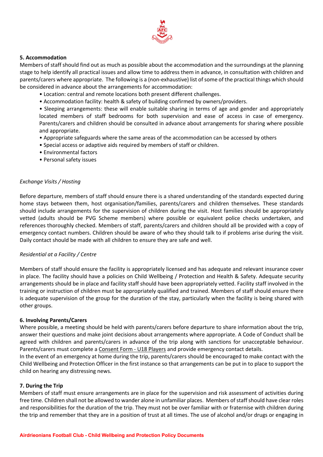

#### **5. Accommodation**

Members of staff should find out as much as possible about the accommodation and the surroundings at the planning stage to help identify all practical issues and allow time to address them in advance, in consultation with children and parents/carers where appropriate. The following is a (non-exhaustive) list of some of the practical things which should be considered in advance about the arrangements for accommodation:

- Location: central and remote locations both present different challenges.
- Accommodation facility: health & safety of building confirmed by owners/providers.

• Sleeping arrangements: these will enable suitable sharing in terms of age and gender and appropriately located members of staff bedrooms for both supervision and ease of access in case of emergency. Parents/carers and children should be consulted in advance about arrangements for sharing where possible and appropriate.

- Appropriate safeguards where the same areas of the accommodation can be accessed by others
- Special access or adaptive aids required by members of staff or children.
- Environmental factors
- Personal safety issues

#### *Exchange Visits / Hosting*

Before departure, members of staff should ensure there is a shared understanding of the standards expected during home stays between them, host organisation/families, parents/carers and children themselves. These standards should include arrangements for the supervision of children during the visit. Host families should be appropriately vetted (adults should be PVG Scheme members) where possible or equivalent police checks undertaken, and references thoroughly checked. Members of staff, parents/carers and children should all be provided with a copy of emergency contact numbers. Children should be aware of who they should talk to if problems arise during the visit. Daily contact should be made with all children to ensure they are safe and well.

#### *Residential at a Facility / Centre*

Members of staff should ensure the facility is appropriately licensed and has adequate and relevant insurance cover in place. The facility should have a policies on Child Wellbeing / Protection and Health & Safety. Adequate security arrangements should be in place and facility staff should have been appropriately vetted. Facility staff involved in the training or instruction of children must be appropriately qualified and trained. Members of staff should ensure there is adequate supervision of the group for the duration of the stay, particularly when the facility is being shared with other groups.

#### **6. Involving Parents/Carers**

Where possible, a meeting should be held with parents/carers before departure to share information about the trip, answer their questions and make joint decisions about arrangements where appropriate. A Code of Conduct shall be agreed with children and parents/carers in advance of the trip along with sanctions for unacceptable behaviour. Parents/carers must complete a Consent Form - U18 Players and provide emergency contact details.

In the event of an emergency at home during the trip, parents/carers should be encouraged to make contact with the Child Wellbeing and Protection Officer in the first instance so that arrangements can be put in to place to support the child on hearing any distressing news.

#### **7. During the Trip**

Members of staff must ensure arrangements are in place for the supervision and risk assessment of activities during free time. Children shall not be allowed to wander alone in unfamiliar places. Members of staff should have clear roles and responsibilities for the duration of the trip. They must not be over familiar with or fraternise with children during the trip and remember that they are in a position of trust at all times. The use of alcohol and/or drugs or engaging in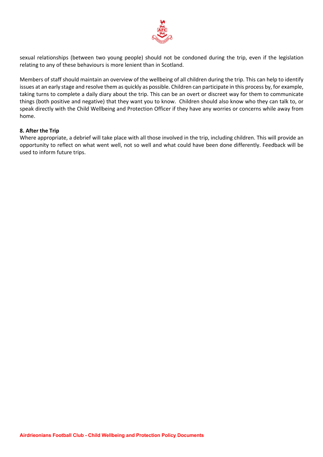

sexual relationships (between two young people) should not be condoned during the trip, even if the legislation relating to any of these behaviours is more lenient than in Scotland.

Members of staff should maintain an overview of the wellbeing of all children during the trip. This can help to identify issues at an early stage and resolve them as quickly as possible. Children can participate in this process by, for example, taking turns to complete a daily diary about the trip. This can be an overt or discreet way for them to communicate things (both positive and negative) that they want you to know. Children should also know who they can talk to, or speak directly with the Child Wellbeing and Protection Officer if they have any worries or concerns while away from home.

#### **8. After the Trip**

Where appropriate, a debrief will take place with all those involved in the trip, including children. This will provide an opportunity to reflect on what went well, not so well and what could have been done differently. Feedback will be used to inform future trips.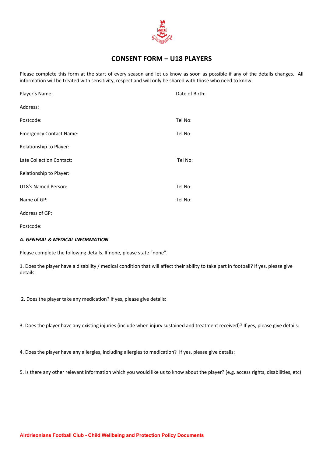

### **CONSENT FORM – U18 PLAYERS**

Please complete this form at the start of every season and let us know as soon as possible if any of the details changes. All information will be treated with sensitivity, respect and will only be shared with those who need to know.

| Player's Name:                 | Date of Birth: |
|--------------------------------|----------------|
| Address:                       |                |
| Postcode:                      | Tel No:        |
| <b>Emergency Contact Name:</b> | Tel No:        |
| Relationship to Player:        |                |
| Late Collection Contact:       | Tel No:        |
| Relationship to Player:        |                |
| U18's Named Person:            | Tel No:        |
| Name of GP:                    | Tel No:        |
| Address of GP:                 |                |
|                                |                |

Postcode:

#### *A. GENERAL & MEDICAL INFORMATION*

Please complete the following details. If none, please state "none".

1. Does the player have a disability / medical condition that will affect their ability to take part in football? If yes, please give details:

2. Does the player take any medication? If yes, please give details:

3. Does the player have any existing injuries (include when injury sustained and treatment received)? If yes, please give details:

4. Does the player have any allergies, including allergies to medication? If yes, please give details:

5. Is there any other relevant information which you would like us to know about the player? (e.g. access rights, disabilities, etc)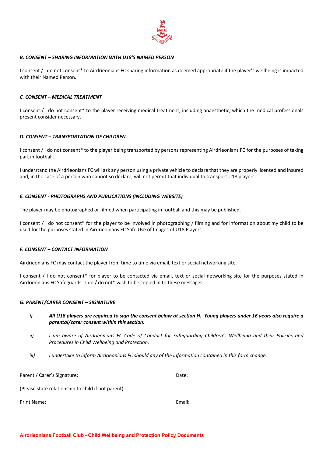

#### *B. CONSENT – SHARING INFORMATION WITH U18'S NAMED PERSON*

I consent / I do not consent\* to Airdrieonians FC sharing information as deemed appropriate if the player's wellbeing is impacted with their Named Person.

#### *C. CONSENT – MEDICAL TREATMENT*

I consent / I do not consent\* to the player receiving medical treatment, including anaesthetic, which the medical professionals present consider necessary.

#### *D. CONSENT – TRANSPORTATION OF CHILDREN*

I consent / I do not consent\* to the player being transported by persons representing Airdrieonians FC for the purposes of taking part in football.

I understand the Airdrieonians FC will ask any person using a private vehicle to declare that they are properly licensed and insured and, in the case of a person who cannot so declare, will not permit that individual to transport U18 players.

#### *E. CONSENT - PHOTOGRAPHS AND PUBLICATIONS (INCLUDING WEBSITE)*

The player may be photographed or filmed when participating in football and this may be published.

I consent / I do not consent\* for the player to be involved in photographing / filming and for information about my child to be used for the purposes stated in Airdrieonians FC Safe Use of Images of U18 Players.

#### *F. CONSENT – CONTACT INFORMATION*

Airdrieonians FC may contact the player from time to time via email, text or social networking site.

I consent / I do not consent\* for player to be contacted via email, text or social networking site for the purposes stated in Airdrieonians FC Safeguards. I do / do not\* wish to be copied in to these messages.

#### *G. PARENT/CARER CONSENT – SIGNATURE*

- i) All U18 players are required to sign the consent below at section H. Young players under 16 years also require a *parental/carer consent within this section.*
- ii) I am aware of Airdrieonians FC Code of Conduct for Safeguarding Children's Wellbeing and their Policies and *Procedures in Child Wellbeing and Protection.*
- *iii) I undertake to inform Airdrieonians FC should any of the information contained in this form change.*

Parent / Carer's Signature: Date:

(Please state relationship to child if not parent):

Print Name: Email: Email: Email: Email: Email: Email: Email: Email: Email: Email: Email: Email: Email: Email: Email: Email: Email: Email: Email: Email: Email: Email: Email: Email: Email: Email: Email: Email: Email: Email: